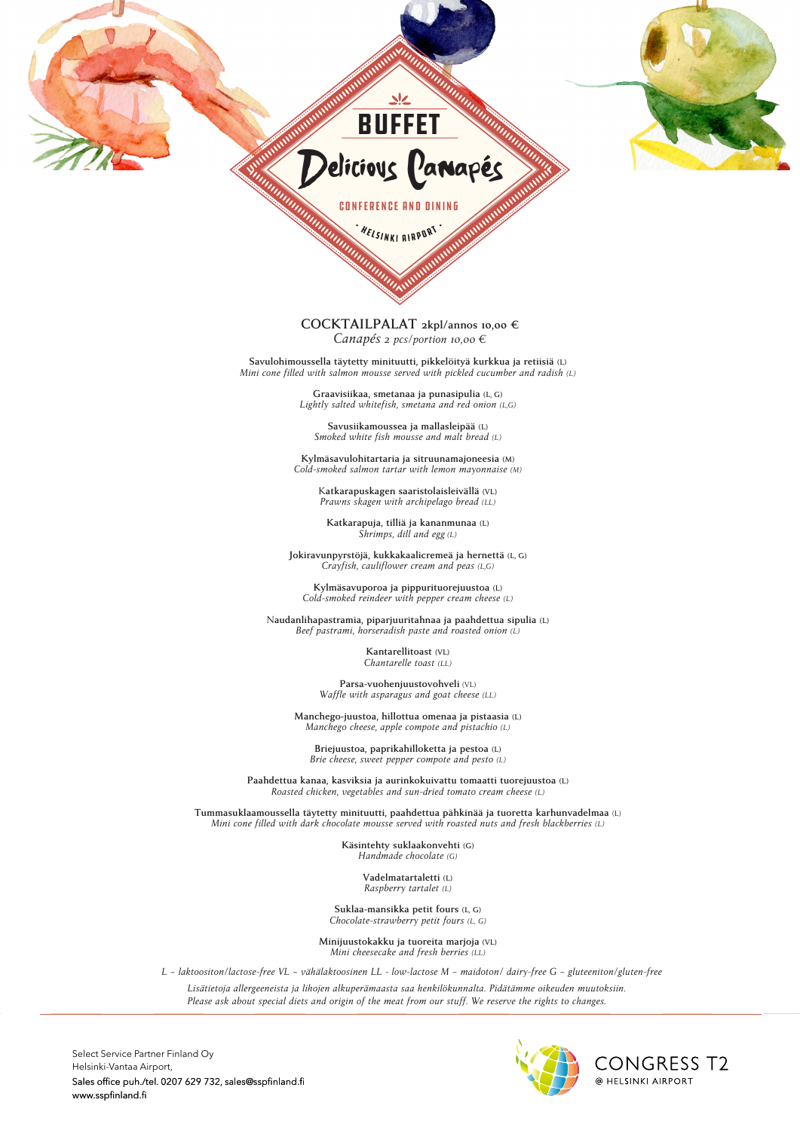

**CONTRACTOR** CONTRACTOR CONTRACTOR CONTRACTOR  $2\frac{m}{\sqrt{2}}$ external contract of the contract of the contract of the contract of the contract of the contract of the contract of the contract of the contract of the contract of the contract of the contract of the contract of the contr

• 17.90 €

 $p_{\rm{2}}$  and  $p_{\rm{2}}$  salmon making  $p_{\rm{2}}$  satisfying making  $p_{\rm{2}}$ 

 $2\frac{2}{\sqrt{2}}$  pcs salimning night night night night night night night night night night night night night night night night night night night night night night night night night night night night night night night night n pcs cucumber maki, 2pcs salmon maki, 2pcs MSC tuna maki

**SUSHIS – SUNKI BIBBBB (M), WASHIM** 

## 2 pcs salmon nigiri, 2 pcs Benella whitefish nigiri, • 17.90 € **COCKTAILPALAT 2kpl/annos 10,00 €** 4 pcs salmon cream cheese maki 2 pcs salmon nigiri, 2 pcs Benella whitefish nigiri, *Canapés 2 pcs/portion 10,00 €*  $\alpha$ <sub>m</sub>

**Salads** – incl. bread and spread **Savulohimoussella täytetty minituutti, pikkelöityä kurkkua ja retiisiä (L)** Savulohimoussella täytetty minituutti, pikkelöityä kurkkua ja retiisiä (L)<br>*Mini cone filled with salmon mousse served with pickled cucumber and radish (L)* 

• Caesar salad (L, G) and crispy croutons (M) with: 1 salad 16,90 € / 2 salads 25,90 € / 3 salads 31,50 € **Graavisiikaa, smetanaa ja punasipulia (L, G)** - Cold smoked salmon Lightly salted whitefish, smetana and red onion *(L,G)* 

> **Savusiikamoussea ja mallasleipää (L)** *Smoked white fish mousse and malt bread (L)*

- Citrus marinated shrimps **Kylmäsavulohitartaria ja sitruunamajoneesia (M)**  $Cold$ -smoked salmon tartar with lemon mayonnaise *(M)* 

- Slightly smoked entrecôte K**atkarapuskagen saaristolaisleivällä (VL)** Prawns skagen with archipelago bread *(LL)* 

Katkarapuja, tilliä ja kananmunaa (L)  $\overline{\text{Shrimps}}$ , dill and egg (L)

**Jokiravunpyrstöjä, kukkakaalicremeä ja hernettä** <sup>(L, G)</sup>  $Crayfish, cauliflower cream and peas (L, G)$ 

 $Kylm$ äsavuporoa ja pippurituorejuustoa (L) Cold-smoked reindeer with pepper cream cheese *(L)* 

 $N$ audanlihapastramia, piparjuuritahnaa ja paahdettua sipulia (L) *Beef pastrami, horseradish paste and roasted onion (L)* 

**Kantarellitoast** (VL)  $Chantarelle toast (LL)$ 

Parsa-vuohenjuustovohveli (VL) *Waffle with asparagus and goat cheese (LL)*

 $\mathcal{L}_{\mathbf{g}}$  smooth and creamy black trumpet mushroom **Manchego-juustoa, hillottua omenaa ja pistaasia (L)** *Manchego cheese, apple compote and pistachio (L)*

Briejuustoa, paprikahilloketta ja pestoa **(L)** *Brie cheese, sweet pepper compote and pesto (L)* 

Roasted chicken, vegetables and sun-dried tomato cream cheese (L) (M,G) and seasonal vegetables (M,G) **Paahdettua kanaa, kasviksia ja aurinkokuivattu tomaatti tuorejuustoa (L)**

Roasted pork fillet and red wine-smoky bacon sauce (M, 28.50€ *Mini cone filled with dark chocolate mousse served with roasted nuts and fresh blackberries (L)* vegetable-savoy gabbage bake Perch simmered in smetana (L,G) dill potatoes (VL,G) and **Tummasuklaamoussella täytetty minituutti, paahdettua pähkinää ja tuoretta karhunvadelmaa** (L)

Käsintehty suklaakonvehti **(G)**  $H$ and made chocolate  $(G)$ *Handmade chocolate (G)*

Roasted lamb with thyme sauce (M,G)  $R$ aspberry tartalet *(L)*  $R<sub>0</sub>$ **Vadelmatartaletti (L)**

*Chocolate-strawberry petit fours <i>(L, G)*, *Chocolate-strawberry petit fours <i>(L, G)* **Suklaa-mansikka petit fours** (L, G)

and oven-dried tomatoes (M) and seasonal vegetables (M, G) **Minijuustokakku ja tuoreita marjoja (VL)** and oven-dried tomatoes (M) and seasonal vegetables (M, G) *Mini cheesecake and fresh berries (LL)*

L - laktoositon/lactose-free VL - vähälaktoosinen LL - low-lactose M - maidoton/ dairy-free G - gluteeniton/gluten-free

L – lactose-free LL – low-lactose M – dairy-free G – gluten-free *Lisätietoja allergeeneista ja lihojen alkuperämaasta saa henkilökunnalta. Pidätämme oikeuden muutoksiin. Please ask about special diets and origin of the meat from our stuff. We reserve the rights to changes.*

Select Service Partner Finland Oy Helsinki-Vantaa Airport, Sales office puh./tel. 0207 629 732, sales@sspfinland.fi www.sspfinland.fi $\overline{\phantom{a}}$